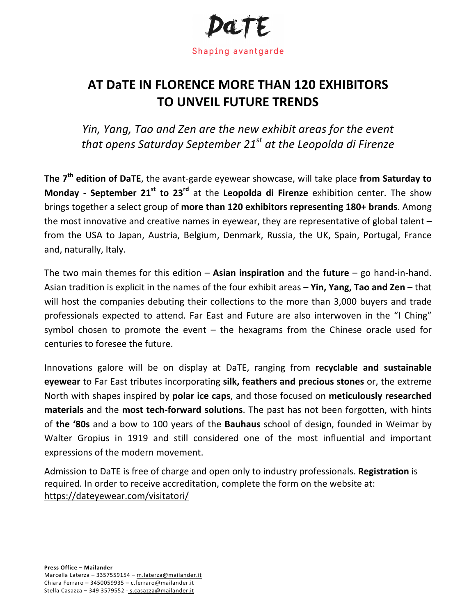

## **AT DATE IN FLORENCE MORE THAN 120 EXHIBITORS TO UNVEIL FUTURE TRENDS**

*Yin, Yang, Tao and Zen are the new exhibit areas for the event that opens Saturday September 21<sup>st</sup> at the Leopolda di Firenze* 

The 7<sup>th</sup> edition of DaTE, the avant-garde eyewear showcase, will take place from Saturday to **Monday - September 21**<sup>st</sup> to 23<sup>rd</sup> at the **Leopolda di Firenze** exhibition center. The show brings together a select group of more than 120 exhibitors representing 180+ brands. Among the most innovative and creative names in eyewear, they are representative of global talent  $$ from the USA to Japan, Austria, Belgium, Denmark, Russia, the UK, Spain, Portugal, France and, naturally, Italy.

The two main themes for this edition  $-$  Asian inspiration and the future  $-$  go hand-in-hand. Asian tradition is explicit in the names of the four exhibit areas – **Yin, Yang, Tao and Zen** – that will host the companies debuting their collections to the more than 3,000 buyers and trade professionals expected to attend. Far East and Future are also interwoven in the "I Ching" symbol chosen to promote the event  $-$  the hexagrams from the Chinese oracle used for centuries to foresee the future.

Innovations galore will be on display at DaTE, ranging from **recyclable and sustainable eyewear** to Far East tributes incorporating **silk, feathers and precious stones** or, the extreme North with shapes inspired by **polar ice caps**, and those focused on **meticulously researched materials** and the **most tech-forward solutions**. The past has not been forgotten, with hints of **the '80s** and a bow to 100 years of the **Bauhaus** school of design, founded in Weimar by Walter Gropius in 1919 and still considered one of the most influential and important expressions of the modern movement.

Admission to DaTE is free of charge and open only to industry professionals. **Registration** is required. In order to receive accreditation, complete the form on the website at: https://dateyewear.com/visitatori/